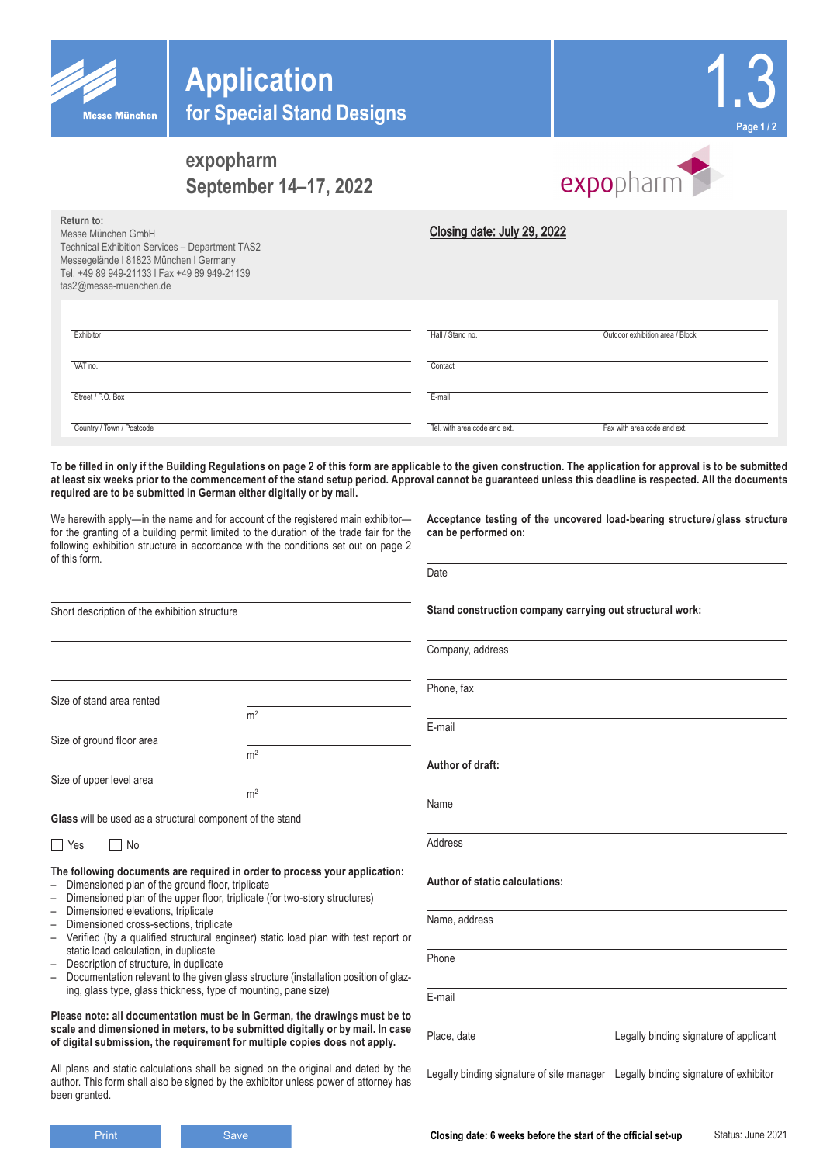| <b>Messe München</b>                                                                                                                                                                                    | <b>Application</b><br>for Special Stand Designs                                                                                                                                                                                                                                                                                                                                                                                                                                                                                                                                                                                                                            |                              | Page 1 / 2                                                                 |
|---------------------------------------------------------------------------------------------------------------------------------------------------------------------------------------------------------|----------------------------------------------------------------------------------------------------------------------------------------------------------------------------------------------------------------------------------------------------------------------------------------------------------------------------------------------------------------------------------------------------------------------------------------------------------------------------------------------------------------------------------------------------------------------------------------------------------------------------------------------------------------------------|------------------------------|----------------------------------------------------------------------------|
|                                                                                                                                                                                                         | expopharm<br>September 14-17, 2022                                                                                                                                                                                                                                                                                                                                                                                                                                                                                                                                                                                                                                         |                              | expopharm                                                                  |
| Return to:<br>Messe München GmbH<br>Technical Exhibition Services - Department TAS2<br>Messegelände I 81823 München I Germany<br>Tel. +49 89 949-21133   Fax +49 89 949-21139<br>tas2@messe-muenchen.de |                                                                                                                                                                                                                                                                                                                                                                                                                                                                                                                                                                                                                                                                            | Closing date: July 29, 2022  |                                                                            |
| Exhibitor                                                                                                                                                                                               |                                                                                                                                                                                                                                                                                                                                                                                                                                                                                                                                                                                                                                                                            | Hall / Stand no.             | Outdoor exhibition area / Block                                            |
| VAT no.                                                                                                                                                                                                 |                                                                                                                                                                                                                                                                                                                                                                                                                                                                                                                                                                                                                                                                            | Contact                      |                                                                            |
| Street / P.O. Box                                                                                                                                                                                       |                                                                                                                                                                                                                                                                                                                                                                                                                                                                                                                                                                                                                                                                            | E-mail                       |                                                                            |
| Country / Town / Postcode                                                                                                                                                                               |                                                                                                                                                                                                                                                                                                                                                                                                                                                                                                                                                                                                                                                                            | Tel, with area code and ext. | Fax with area code and ext.                                                |
|                                                                                                                                                                                                         | To be filled in only if the Building Regulations on page 2 of this form are applicable to the given construction. The application for approval is to be submitted<br>at least six weeks prior to the commencement of the stand setup period. Approval cannot be guaranteed unless this deadline is respected. All the documents<br>required are to be submitted in German either digitally or by mail.<br>We herewith apply-in the name and for account of the registered main exhibitor-<br>for the granting of a building permit limited to the duration of the trade fair for the<br>following exhibition structure in accordance with the conditions set out on page 2 | can be performed on:         | Acceptance testing of the uncovered load-bearing structure/glass structure |
| of this form.                                                                                                                                                                                           |                                                                                                                                                                                                                                                                                                                                                                                                                                                                                                                                                                                                                                                                            | Date                         |                                                                            |

| Short description of the exhibition structure |  |  |
|-----------------------------------------------|--|--|
|-----------------------------------------------|--|--|

Size of stand area rented

Size of ground floor area

Size of upper level area

**Glass** will be used as a structural component of the stand

No Res No

**The following documents are required in order to process your application:** – Dimensioned plan of the ground floor, triplicate

 $m<sup>2</sup>$ 

 $m<sup>2</sup>$ 

 $m<sup>2</sup>$ 

- Dimensioned plan of the upper floor, triplicate (for two-story structures)
- Dimensioned elevations, triplicate
- Dimensioned cross-sections, triplicate
- Verified (by a qualified structural engineer) static load plan with test report or static load calculation, in duplicate
- Description of structure, in duplicate<br>– Documentation relevant to the given
- Documentation relevant to the given glass structure (installation position of glazing, glass type, glass thickness, type of mounting, pane size)

#### **Please note: all documentation must be in German, the drawings must be to scale and dimensioned in meters, to be submitted digitally or by mail. In case of digital submission, the requirement for multiple copies does not apply.**

All plans and static calculations shall be signed on the original and dated by the author. This form shall also be signed by the exhibitor unless power of attorney has been granted.

Status: June 2021 **Stand construction company carrying out structural work:** Company, address Phone, fax E-mail **Author of draft:** Name Address **Author of static calculations:** Name, address Phone E-mail Place, date **Legally binding signature of applicant** Legally binding signature of site manager Legally binding signature of exhibitor **Print Save Save Save Save Set Line Same Save Set Line Set Line Set Line Set Line Set Line Set Line Set Line Set Line Set Line Set Line Set Line Set Line Set Line Set Line Set Line Set Line Set Line Set Line Set Line Set L**